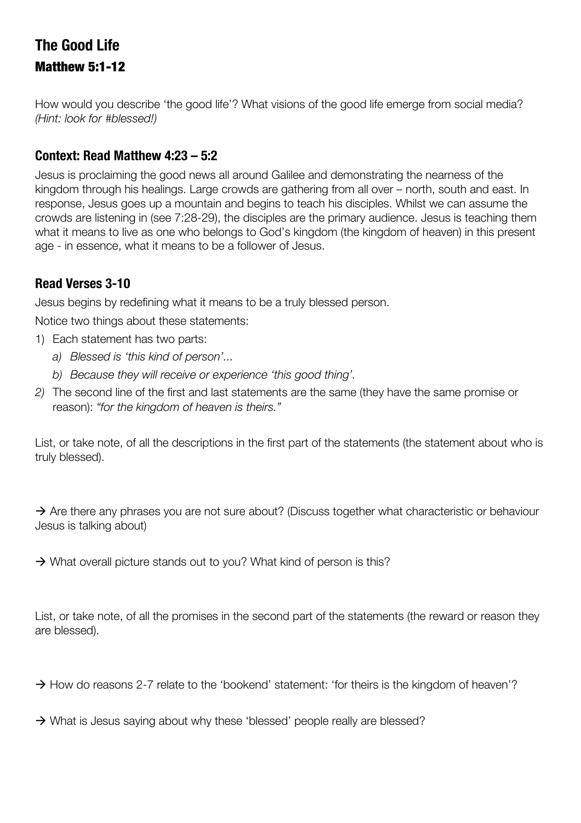## **The Good Life** Matthew 5:1-12

How would you describe 'the good life'? What visions of the good life emerge from social media? *(Hint: look for #blessed!)*

### **Context: Read Matthew 4:23 – 5:2**

Jesus is proclaiming the good news all around Galilee and demonstrating the nearness of the kingdom through his healings. Large crowds are gathering from all over – north, south and east. In response, Jesus goes up a mountain and begins to teach his disciples. Whilst we can assume the crowds are listening in (see 7:28-29), the disciples are the primary audience. Jesus is teaching them what it means to live as one who belongs to God's kingdom (the kingdom of heaven) in this present age - in essence, what it means to be a follower of Jesus.

## **Read Verses 3-10**

Jesus begins by redefining what it means to be a truly blessed person.

Notice two things about these statements:

- 1) Each statement has two parts:
	- *a) Blessed is 'this kind of person'...*
	- *b) Because they will receive or experience 'this good thing'.*
- *2)* The second line of the first and last statements are the same (they have the same promise or reason): *"for the kingdom of heaven is theirs."*

List, or take note, of all the descriptions in the first part of the statements (the statement about who is truly blessed).

 $\rightarrow$  Are there any phrases you are not sure about? (Discuss together what characteristic or behaviour Jesus is talking about)

 $\rightarrow$  What overall picture stands out to you? What kind of person is this?

List, or take note, of all the promises in the second part of the statements (the reward or reason they are blessed).

 $\rightarrow$  How do reasons 2-7 relate to the 'bookend' statement: 'for theirs is the kingdom of heaven'?

 $\rightarrow$  What is Jesus saying about why these 'blessed' people really are blessed?